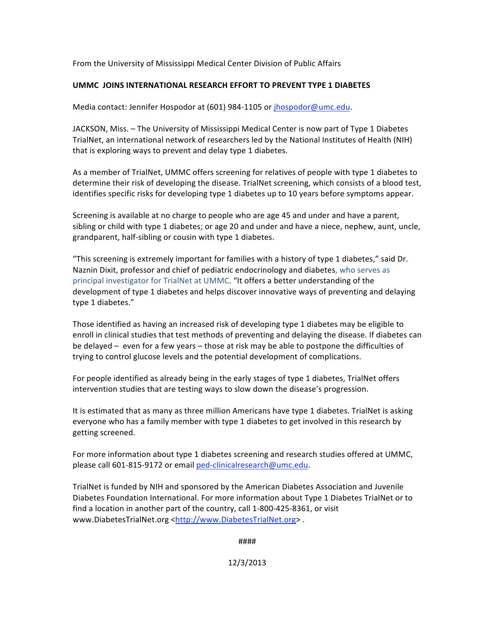From the University of Mississippi Medical Center Division of Public Affairs

## **UMMC JOINS INTERNATIONAL RESEARCH EFFORT TO PREVENT TYPE 1 DIABETES**

Media contact: Jennifer Hospodor at (601) 984‐1105 or jhospodor@umc.edu.

JACKSON, Miss. – The University of Mississippi Medical Center is now part of Type 1 Diabetes TrialNet, an international network of researchers led by the National Institutes of Health (NIH) that is exploring ways to prevent and delay type 1 diabetes.

As a member of TrialNet, UMMC offers screening for relatives of people with type 1 diabetes to determine their risk of developing the disease. TrialNet screening, which consists of a blood test, identifies specific risks for developing type 1 diabetes up to 10 years before symptoms appear.

Screening is available at no charge to people who are age 45 and under and have a parent, sibling or child with type 1 diabetes; or age 20 and under and have a niece, nephew, aunt, uncle, grandparent, half‐sibling or cousin with type 1 diabetes.

"This screening is extremely important for families with a history of type 1 diabetes," said Dr. Naznin Dixit, professor and chief of pediatric endocrinology and diabetes, who serves as principal investigator for TrialNet at UMMC. "It offers a better understanding of the development of type 1 diabetes and helps discover innovative ways of preventing and delaying type 1 diabetes."

Those identified as having an increased risk of developing type 1 diabetes may be eligible to enroll in clinical studies that test methods of preventing and delaying the disease. If diabetes can be delayed – even for a few years – those at risk may be able to postpone the difficulties of trying to control glucose levels and the potential development of complications.

For people identified as already being in the early stages of type 1 diabetes, TrialNet offers intervention studies that are testing ways to slow down the disease's progression.

It is estimated that as many as three million Americans have type 1 diabetes. TrialNet is asking everyone who has a family member with type 1 diabetes to get involved in this research by getting screened.

For more information about type 1 diabetes screening and research studies offered at UMMC, please call 601-815-9172 or email ped-clinicalresearch@umc.edu.

TrialNet is funded by NIH and sponsored by the American Diabetes Association and Juvenile Diabetes Foundation International. For more information about Type 1 Diabetes TrialNet or to find a location in another part of the country, call 1‐800‐425‐8361, or visit www.DiabetesTrialNet.org <http://www.DiabetesTrialNet.org>.

####

12/3/2013